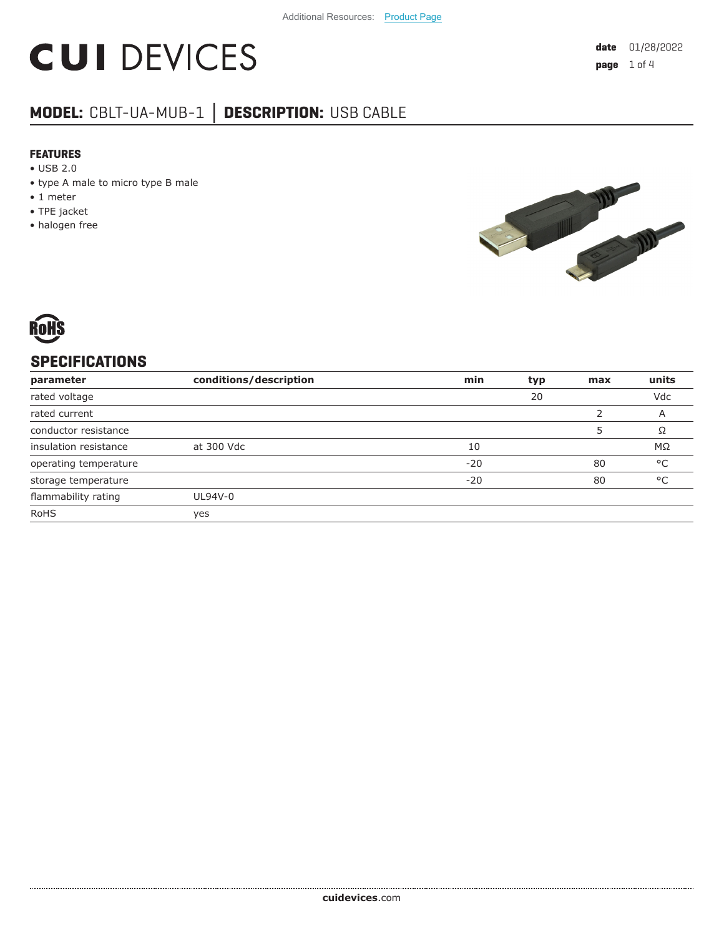# **CUI DEVICES**

# **MODEL:** CBLT-UA-MUB-1 **│ DESCRIPTION:** USB CABLE

#### **FEATURES**

- USB 2.0
- type A male to micro type B male
- 1 meter
- TPE jacket
- halogen free





## **SPECIFICATIONS**

| parameter             | conditions/description | min   | typ | max | units        |
|-----------------------|------------------------|-------|-----|-----|--------------|
| rated voltage         |                        |       | 20  |     | Vdc          |
| rated current         |                        |       |     |     | A            |
| conductor resistance  |                        |       |     |     | Ω            |
| insulation resistance | at 300 Vdc             | 10    |     |     | ΜΩ           |
| operating temperature |                        | $-20$ |     | 80  | °C           |
| storage temperature   |                        | $-20$ |     | 80  | $^{\circ}$ C |
| flammability rating   | UL94V-0                |       |     |     |              |
| <b>RoHS</b>           | yes                    |       |     |     |              |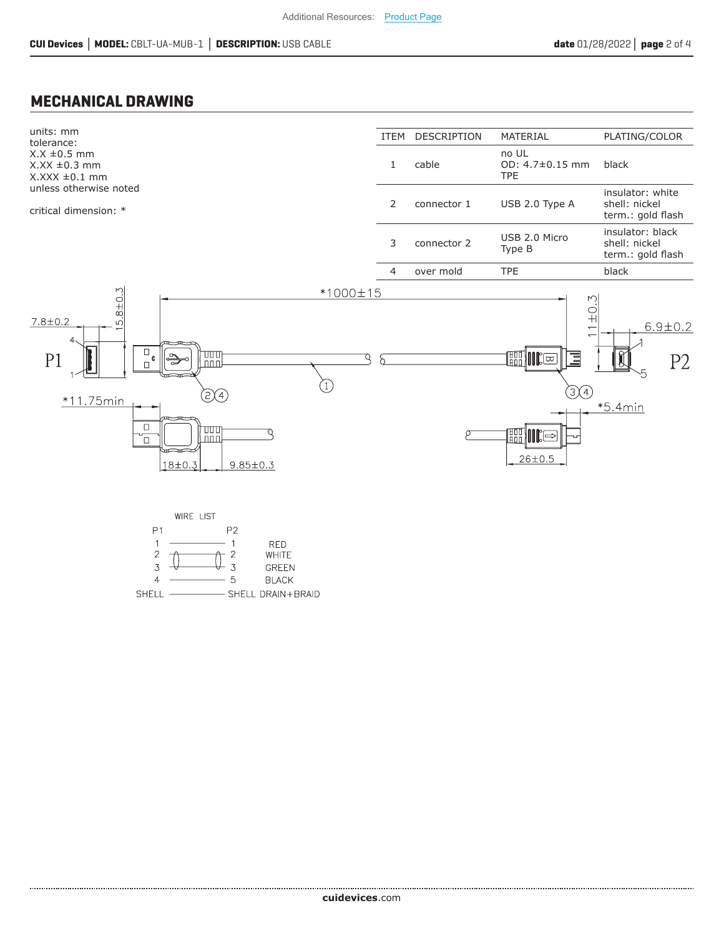5

**BLACK** 

- SHELL DRAIN+BRAID

 $\overline{4}$ 

SHELL -

#### **MECHANICAL DRAWING**

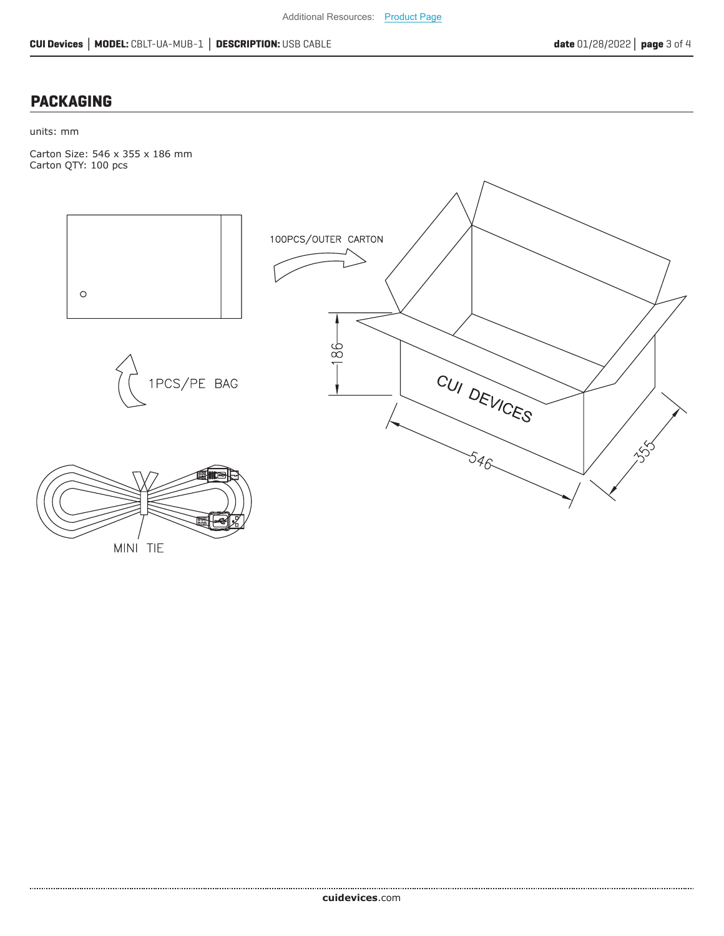### **PACKAGING**

units: mm

Carton Size: 546 x 355 x 186 mm Carton QTY: 100 pcs



MINI TIE